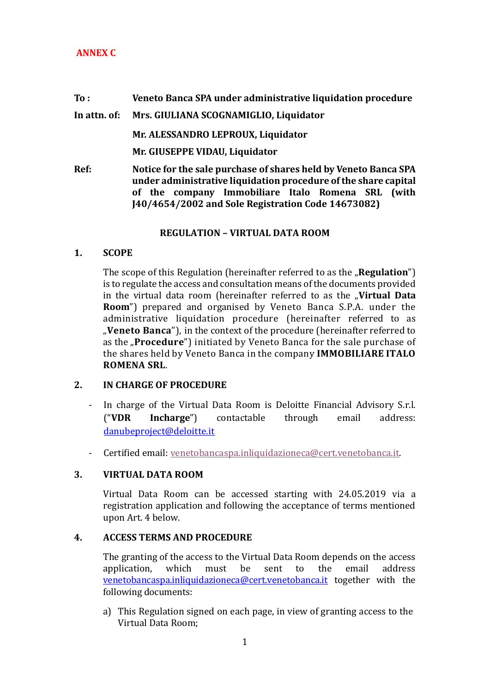## **ANNEX C**

#### **To : Veneto Banca SPA under administrative liquidation procedure**

**In attn. of: Mrs. GIULIANA SCOGNAMIGLIO, Liquidator**

**Mr. ALESSANDRO LEPROUX, Liquidator**

**Mr. GIUSEPPE VIDAU, Liquidator**

**Ref: Notice for the sale purchase of shares held by Veneto Banca SPA under administrative liquidation procedure of the share capital of the company Immobiliare Italo Romena SRL (with J40/4654/2002 and Sole Registration Code 14673082)** 

### **REGULATION – VIRTUAL DATA ROOM**

**1. SCOPE**

The scope of this Regulation (hereinafter referred to as the **"Regulation**") is to regulate the access and consultation means of the documents provided in the virtual data room (hereinafter referred to as the "**Virtual Data Room**") prepared and organised by Veneto Banca S.P.A. under the administrative liquidation procedure (hereinafter referred to as "**Veneto Banca**"), in the context of the procedure (hereinafter referred to as the "**Procedure**") initiated by Veneto Banca for the sale purchase of the shares held by Veneto Banca in the company **IMMOBILIARE ITALO ROMENA SRL**.

## **2. IN CHARGE OF PROCEDURE**

- In charge of the Virtual Data Room is Deloitte Financial Advisory S.r.l. ("**VDR Incharge**") contactable through email address: [danubeproject@deloitte.it](mailto:danubeproject@deloitte.it)
- Certified email: [venetobancaspa.inliquidazioneca@cert.venetobanca.it.](mailto:venetobancaspa.inliquidazioneca@cert.venetobanca.it)

## **3. VIRTUAL DATA ROOM**

Virtual Data Room can be accessed starting with 24.05.2019 via a registration application and following the acceptance of terms mentioned upon Art. 4 below.

#### **4. ACCESS TERMS AND PROCEDURE**

The granting of the access to the Virtual Data Room depends on the access application, which must be sent to the email address [venetobancaspa.inliquidazioneca@cert.venetobanca.it](mailto:venetobancaspa.inliquidazioneca@cert.venetobanca.it) together with the following documents:

a) This Regulation signed on each page, in view of granting access to the Virtual Data Room;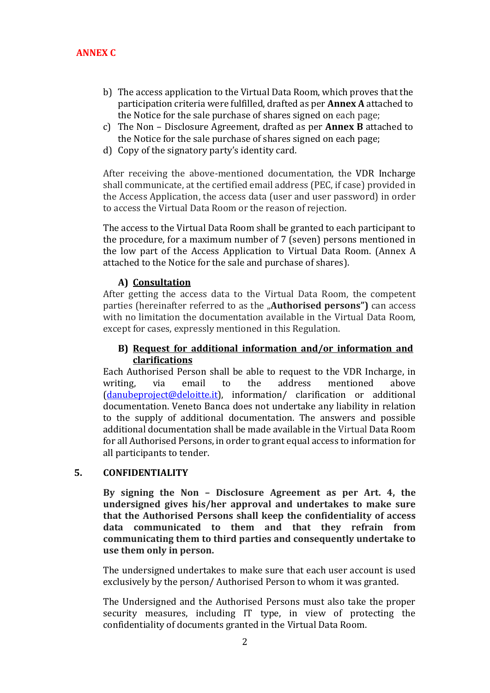- b) The access application to the Virtual Data Room, which proves that the participation criteria were fulfilled, drafted as per **Annex A** attached to the Notice for the sale purchase of shares signed on each page;
- c) The Non Disclosure Agreement, drafted as per **Annex B** attached to the Notice for the sale purchase of shares signed on each page;
- d) Copy of the signatory party's identity card.

After receiving the above-mentioned documentation, the VDR Incharge shall communicate, at the certified email address (PEC, if case) provided in the Access Application, the access data (user and user password) in order to access the Virtual Data Room or the reason of rejection.

The access to the Virtual Data Room shall be granted to each participant to the procedure, for a maximum number of 7 (seven) persons mentioned in the low part of the Access Application to Virtual Data Room. (Annex A attached to the Notice for the sale and purchase of shares).

### **A) Consultation**

After getting the access data to the Virtual Data Room, the competent parties (hereinafter referred to as the "**Authorised persons")** can access with no limitation the documentation available in the Virtual Data Room, except for cases, expressly mentioned in this Regulation.

### **B) Request for additional information and/or information and clarifications**

Each Authorised Person shall be able to request to the VDR Incharge, in writing, via email to the address mentioned above [\(danubeproject@deloitte.it\)](mailto:danubeproject@deloitte.it), information/ clarification or additional documentation. Veneto Banca does not undertake any liability in relation to the supply of additional documentation. The answers and possible additional documentation shall be made available in the Virtual Data Room for all Authorised Persons, in order to grant equal access to information for all participants to tender.

#### **5. CONFIDENTIALITY**

**By signing the Non – Disclosure Agreement as per Art. 4, the undersigned gives his/her approval and undertakes to make sure that the Authorised Persons shall keep the confidentiality of access data communicated to them and that they refrain from communicating them to third parties and consequently undertake to use them only in person.** 

The undersigned undertakes to make sure that each user account is used exclusively by the person/ Authorised Person to whom it was granted.

The Undersigned and the Authorised Persons must also take the proper security measures, including IT type, in view of protecting the confidentiality of documents granted in the Virtual Data Room.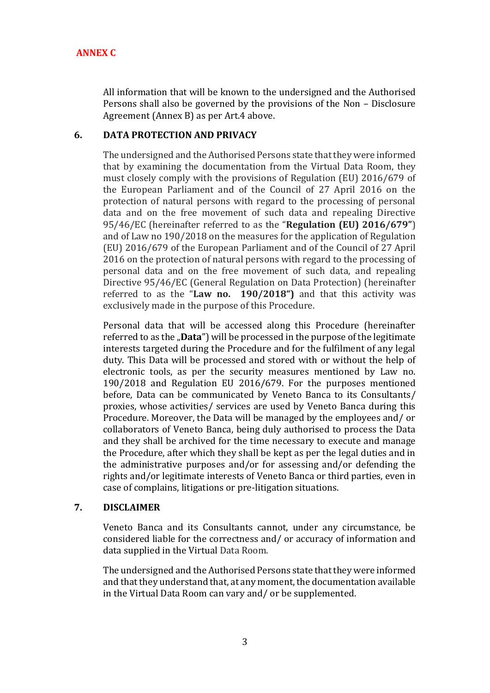All information that will be known to the undersigned and the Authorised Persons shall also be governed by the provisions of the Non – Disclosure Agreement (Annex B) as per Art.4 above.

## **6. DATA PROTECTION AND PRIVACY**

The undersigned and the Authorised Persons state that they were informed that by examining the documentation from the Virtual Data Room, they must closely comply with the provisions of Regulation (EU) 2016/679 of the European Parliament and of the Council of 27 April 2016 on the protection of natural persons with regard to the processing of personal data and on the free movement of such data and repealing Directive 95/46/EC (hereinafter referred to as the "**Regulation (EU) 2016/679"**) and of Law no 190/2018 on the measures for the application of Regulation (EU) 2016/679 of the European Parliament and of the Council of 27 April 2016 on the protection of natural persons with regard to the processing of personal data and on the free movement of such data, and repealing Directive 95/46/EC (General Regulation on Data Protection) (hereinafter referred to as the "**Law no. 190/2018")** and that this activity was exclusively made in the purpose of this Procedure.

Personal data that will be accessed along this Procedure (hereinafter referred to as the "**Data**") will be processed in the purpose of the legitimate interests targeted during the Procedure and for the fulfilment of any legal duty. This Data will be processed and stored with or without the help of electronic tools, as per the security measures mentioned by Law no. 190/2018 and Regulation EU 2016/679. For the purposes mentioned before, Data can be communicated by Veneto Banca to its Consultants/ proxies, whose activities/ services are used by Veneto Banca during this Procedure. Moreover, the Data will be managed by the employees and/ or collaborators of Veneto Banca, being duly authorised to process the Data and they shall be archived for the time necessary to execute and manage the Procedure, after which they shall be kept as per the legal duties and in the administrative purposes and/or for assessing and/or defending the rights and/or legitimate interests of Veneto Banca or third parties, even in case of complains, litigations or pre-litigation situations.

#### **7. DISCLAIMER**

Veneto Banca and its Consultants cannot, under any circumstance, be considered liable for the correctness and/ or accuracy of information and data supplied in the Virtual Data Room.

The undersigned and the Authorised Persons state that they were informed and that they understand that, at any moment, the documentation available in the Virtual Data Room can vary and/ or be supplemented.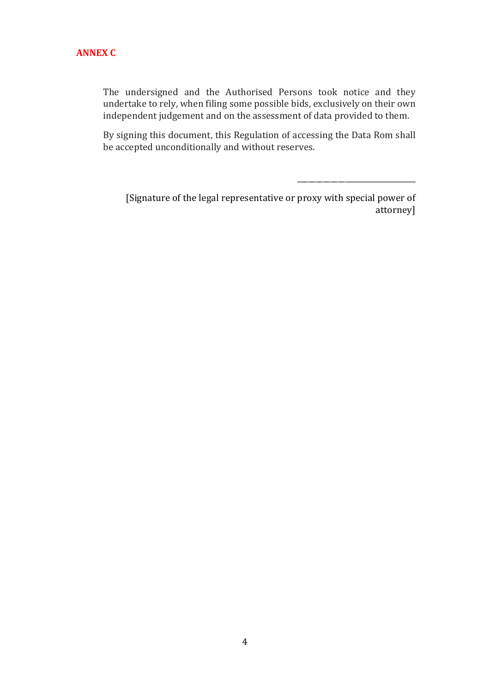The undersigned and the Authorised Persons took notice and they undertake to rely, when filing some possible bids, exclusively on their own independent judgement and on the assessment of data provided to them.

By signing this document, this Regulation of accessing the Data Rom shall be accepted unconditionally and without reserves.

[Signature of the legal representative or proxy with special power of attorney]

\_\_\_\_\_\_\_\_\_\_\_\_\_\_\_\_\_\_\_\_\_\_\_\_\_\_\_\_\_\_\_\_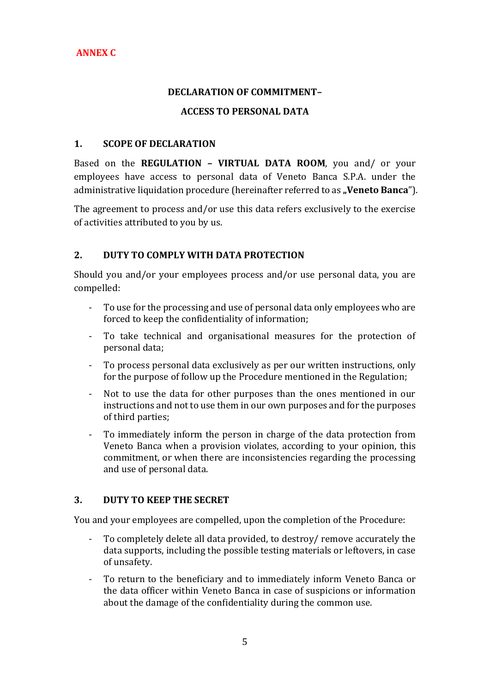## **DECLARATION OF COMMITMENT–**

## **ACCESS TO PERSONAL DATA**

#### **1. SCOPE OF DECLARATION**

Based on the **REGULATION – VIRTUAL DATA ROOM**, you and/ or your employees have access to personal data of Veneto Banca S.P.A. under the administrative liquidation procedure (hereinafter referred to as "**Veneto Banca**").

The agreement to process and/or use this data refers exclusively to the exercise of activities attributed to you by us.

## **2. DUTY TO COMPLY WITH DATA PROTECTION**

Should you and/or your employees process and/or use personal data, you are compelled:

- To use for the processing and use of personal data only employees who are forced to keep the confidentiality of information;
- To take technical and organisational measures for the protection of personal data;
- To process personal data exclusively as per our written instructions, only for the purpose of follow up the Procedure mentioned in the Regulation;
- Not to use the data for other purposes than the ones mentioned in our instructions and not to use them in our own purposes and for the purposes of third parties;
- To immediately inform the person in charge of the data protection from Veneto Banca when a provision violates, according to your opinion, this commitment, or when there are inconsistencies regarding the processing and use of personal data.

## **3. DUTY TO KEEP THE SECRET**

You and your employees are compelled, upon the completion of the Procedure:

- To completely delete all data provided, to destroy/ remove accurately the data supports, including the possible testing materials or leftovers, in case of unsafety.
- To return to the beneficiary and to immediately inform Veneto Banca or the data officer within Veneto Banca in case of suspicions or information about the damage of the confidentiality during the common use.